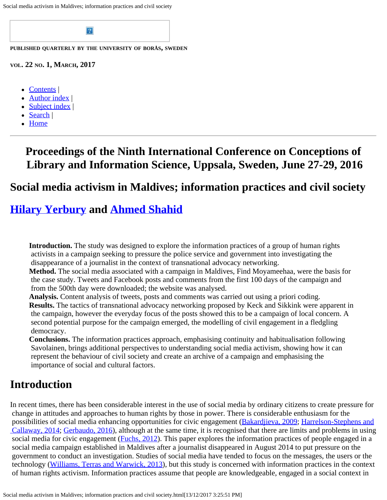Social media activism in Maldives; information practices and civil society



- [Contents](file:///C|/Users/csmythe/Desktop/colis2016.html)
- [Author index](file:///C|/Users/iraindex.html) |
- [Subject index](file:///C|/Users/irsindex.html) |
- [Search](file:///C|/Users/search.html) |
- [Home](file:///C|/Users/index.html)

## **Proceedings of the Ninth International Conference on Conceptions of Library and Information Science, Uppsala, Sweden, June 27-29, 2016**

### **Social media activism in Maldives; information practices and civil society**

## **[Hilary Yerbury](#page-7-0) and [Ahmed Shahid](#page-7-0)**

**Introduction.** The study was designed to explore the information practices of a group of human rights activists in a campaign seeking to pressure the police service and government into investigating the disappearance of a journalist in the context of transnational advocacy networking.

**Method.** The social media associated with a campaign in Maldives, Find Moyameehaa, were the basis for the case study. Tweets and Facebook posts and comments from the first 100 days of the campaign and from the 500th day were downloaded; the website was analysed.

**Analysis.** Content analysis of tweets, posts and comments was carried out using a priori coding. **Results.** The tactics of transnational advocacy networking proposed by Keck and Sikkink were apparent in the campaign, however the everyday focus of the posts showed this to be a campaign of local concern. A second potential purpose for the campaign emerged, the modelling of civil engagement in a fledgling democracy.

**Conclusions.** The information practices approach, emphasising continuity and habitualisation following Savolainen, brings additional perspectives to understanding social media activism, showing how it can represent the behaviour of civil society and create an archive of a campaign and emphasising the importance of social and cultural factors.

## **Introduction**

In recent times, there has been considerable interest in the use of social media by ordinary citizens to create pressure for change in attitudes and approaches to human rights by those in power. There is considerable enthusiasm for the possibilities of social media enhancing opportunities for civic engagement [\(Bakardjieva, 2009](#page-8-0); [Harrelson-Stephens and](#page-8-1)  [Callaway, 2014](#page-8-1); [Gerbaudo, 2016](#page-8-2)), although at the same time, it is recognised that there are limits and problems in using social media for civic engagement (*Fuchs, 2012*). This paper explores the information practices of people engaged in a social media campaign established in Maldives after a journalist disappeared in August 2014 to put pressure on the government to conduct an investigation. Studies of social media have tended to focus on the messages, the users or the technology [\(Williams, Terras and Warwick, 2013](#page-8-4)), but this study is concerned with information practices in the context of human rights activism. Information practices assume that people are knowledgeable, engaged in a social context in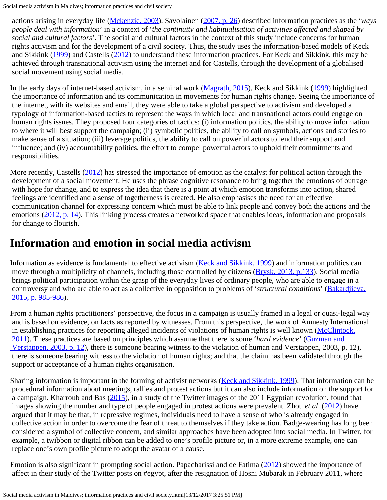Social media activism in Maldives; information practices and civil society

 actions arising in everyday life ([Mckenzie, 2003](#page-8-5)). Savolainen [\(2007, p. 26](#page-8-6)) described information practices as the '*ways people deal with information*' in a context of '*the continuity and habitualisation of activities affected and shaped by social and cultural factors*'. The social and cultural factors in the context of this study include concerns for human rights activism and for the development of a civil society. Thus, the study uses the information-based models of Keck and Sikkink ([1999\)](#page-8-7) and Castells ([2012\)](#page-8-0) to understand these information practices. For Keck and Sikkink, this may be achieved through transnational activism using the internet and for Castells, through the development of a globalised social movement using social media.

In the early days of internet-based activism, in a seminal work [\(Magrath, 2015](#page-8-8)), Keck and Sikkink [\(1999](#page-8-7)) highlighted the importance of information and its communication in movements for human rights change. Seeing the importance of the internet, with its websites and email, they were able to take a global perspective to activism and developed a typology of information-based tactics to represent the ways in which local and transnational actors could engage on human rights issues. They proposed four categories of tactics: (i) information politics, the ability to move information to where it will best support the campaign; (ii) symbolic politics, the ability to call on symbols, actions and stories to make sense of a situation; (iii) leverage politics, the ability to call on powerful actors to lend their support and influence; and (iv) accountability politics, the effort to compel powerful actors to uphold their commitments and responsibilities.

More recently, Castells ([2012\)](#page-8-0) has stressed the importance of emotion as the catalyst for political action through the development of a social movement. He uses the phrase cognitive resonance to bring together the emotions of outrage with hope for change, and to express the idea that there is a point at which emotion transforms into action, shared feelings are identified and a sense of togetherness is created. He also emphasises the need for an effective communication channel for expressing concern which must be able to link people and convey both the actions and the emotions [\(2012, p. 14](#page-8-0)). This linking process creates a networked space that enables ideas, information and proposals for change to flourish.

## **Information and emotion in social media activism**

Information as evidence is fundamental to effective activism ([Keck and Sikkink, 1999\)](#page-8-7) and information politics can move through a multiplicity of channels, including those controlled by citizens [\(Brysk, 2013, p.133\)](#page-8-0). Social media brings political participation within the grasp of the everyday lives of ordinary people, who are able to engage in a controversy and who are able to act as a collective in opposition to problems of '*structural conditions*' ([Bakardjieva,](#page-8-0) 2015, p. 985-986).

From a human rights practitioners' perspective, the focus in a campaign is usually framed in a legal or quasi-legal way and is based on evidence, on facts as reported by witnesses. From this perspective, the work of Amnesty International in establishing practices for reporting alleged incidents of violations of human rights is well known [\(McClintock,](#page-8-9)  [2011](#page-8-9)). These practices are based on principles which assume that there is some '*hard evidence*' [\(Guzman and](#page-8-10)  [Verstappen, 2003, p. 12](#page-8-10)), there is someone bearing witness to the violation of human and Verstappen, 2003, p. 12), there is someone bearing witness to the violation of human rights; and that the claim has been validated through the support or acceptance of a human rights organisation.

Sharing information is important in the forming of activist networks ([Keck and Sikkink, 1999\)](#page-8-7). That information can be procedural information about meetings, rallies and protest actions but it can also include information on the support for a campaign. Kharroub and Bas [\(2015](#page-8-11)), in a study of the Twitter images of the 2011 Egyptian revolution, found that images showing the number and type of people engaged in protest actions were prevalent. Zhou *et al.* [\(2012](#page-8-12)) have argued that it may be that, in repressive regimes, individuals need to have a sense of who is already engaged in collective action in order to overcome the fear of threat to themselves if they take action. Badge-wearing has long been considered a symbol of collective concern, and similar approaches have been adopted into social media. In Twitter, for example, a twibbon or digital ribbon can be added to one's profile picture or, in a more extreme example, one can replace one's own profile picture to adopt the avatar of a cause.

Emotion is also significant in prompting social action. Papacharissi and de Fatima ([2012\)](#page-8-13) showed the importance of affect in their study of the Twitter posts on #egypt, after the resignation of Hosni Mubarak in February 2011, where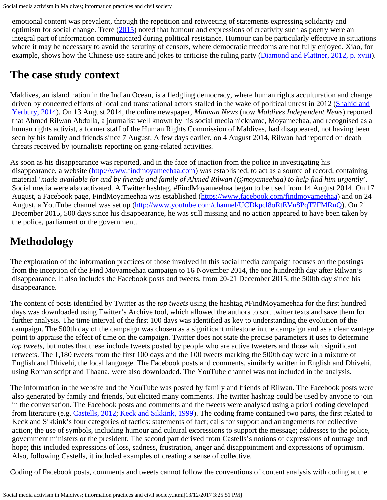emotional content was prevalent, through the repetition and retweeting of statements expressing solidarity and optimism for social change. Treré [\(2015](#page-8-14)) noted that humour and expressions of creativity such as poetry were an integral part of information communicated during political resistance. Humour can be particularly effective in situations where it may be necessary to avoid the scrutiny of censors, where democratic freedoms are not fully enjoyed. Xiao, for example, shows how the Chinese use satire and jokes to criticise the ruling party [\(Diamond and Plattner, 2012, p. xviii](#page-8-0)).

## **The case study context**

Maldives, an island nation in the Indian Ocean, is a fledgling democracy, where human rights acculturation and change driven by concerted efforts of local and transnational actors stalled in the wake of political unrest in 2012 [\(Shahid and](#page-8-15)  [Yerbury, 2014\)](#page-8-15). On 13 August 2014, the online newspaper, *Minivan News* (now *Maldives Independent News*) reported that Ahmed Rilwan Abdulla, a journalist well known by his social media nickname, Moyameehaa, and recognised as a human rights activist, a former staff of the Human Rights Commission of Maldives, had disappeared, not having been seen by his family and friends since 7 August. A few days earlier, on 4 August 2014, Rilwan had reported on death threats received by journalists reporting on gang-related activities.

As soon as his disappearance was reported, and in the face of inaction from the police in investigating his disappearance, a website [\(http://www.findmoyameehaa.com](http://www.findmoyameehaa.com/)) was established, to act as a source of record, containing material '*made available for and by friends and family of Ahmed Rilwan (@moyameehaa) to help find him urgently*'. Social media were also activated. A Twitter hashtag, #FindMoyameehaa began to be used from 14 August 2014. On 17 August, a Facebook page, FindMoyameehaa was established (<https://www.facebook.com/findmoyameehaa>) and on 24 August, a YouTube channel was set up [\(http://www.youtube.com/channel/UCDkpcl8oRtEVn8PqT7FMRnQ](http://www.youtube.com/channel/UCDkpcl8oRtEVn8PqT7FMRnQ)). On 21 December 2015, 500 days since his disappearance, he was still missing and no action appeared to have been taken by the police, parliament or the government.

# **Methodology**

The exploration of the information practices of those involved in this social media campaign focuses on the postings from the inception of the Find Moyameehaa campaign to 16 November 2014, the one hundredth day after Rilwan's disappearance. It also includes the Facebook posts and tweets, from 20-21 December 2015, the 500th day since his disappearance.

The content of posts identified by Twitter as the *top tweets* using the hashtag #FindMoyameehaa for the first hundred days was downloaded using Twitter's Archive tool, which allowed the authors to sort twitter texts and save them for further analysis. The time interval of the first 100 days was identified as key to understanding the evolution of the campaign. The 500th day of the campaign was chosen as a significant milestone in the campaign and as a clear vantage point to appraise the effect of time on the campaign. Twitter does not state the precise parameters it uses to determine *top tweets*, but notes that these include tweets posted by people who are active tweeters and those with significant retweets. The 1,180 tweets from the first 100 days and the 100 tweets marking the 500th day were in a mixture of English and Dhivehi, the local language. The Facebook posts and comments, similarly written in English and Dhivehi, using Roman script and Thaana, were also downloaded. The YouTube channel was not included in the analysis.

The information in the website and the YouTube was posted by family and friends of Rilwan. The Facebook posts were also generated by family and friends, but elicited many comments. The twitter hashtag could be used by anyone to join in the conversation. The Facebook posts and comments and the tweets were analysed using a priori coding developed from literature (e.g. [Castells, 2012;](#page-8-0) [Keck and Sikkink, 1999](#page-8-7)). The coding frame contained two parts, the first related to Keck and Sikkink's four categories of tactics: statements of fact; calls for support and arrangements for collective action; the use of symbols, including humour and cultural expressions to support the message; addresses to the police, government ministers or the president. The second part derived from Castells's notions of expressions of outrage and hope; this included expressions of loss, sadness, frustration, anger and disappointment and expressions of optimism. Also, following Castells, it included examples of creating a sense of collective.

Coding of Facebook posts, comments and tweets cannot follow the conventions of content analysis with coding at the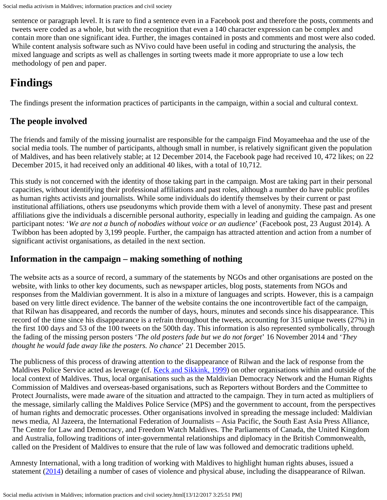sentence or paragraph level. It is rare to find a sentence even in a Facebook post and therefore the posts, comments and tweets were coded as a whole, but with the recognition that even a 140 character expression can be complex and contain more than one significant idea. Further, the images contained in posts and comments and most were also coded. While content analysis software such as NVivo could have been useful in coding and structuring the analysis, the mixed language and scripts as well as challenges in sorting tweets made it more appropriate to use a low tech methodology of pen and paper.

## **Findings**

The findings present the information practices of participants in the campaign, within a social and cultural context.

#### **The people involved**

The friends and family of the missing journalist are responsible for the campaign Find Moyameehaa and the use of the social media tools. The number of participants, although small in number, is relatively significant given the population of Maldives, and has been relatively stable; at 12 December 2014, the Facebook page had received 10, 472 likes; on 22 December 2015, it had received only an additional 40 likes, with a total of 10,712.

This study is not concerned with the identity of those taking part in the campaign. Most are taking part in their personal capacities, without identifying their professional affiliations and past roles, although a number do have public profiles as human rights activists and journalists. While some individuals do identify themselves by their current or past institutional affiliations, others use pseudonyms which provide them with a level of anonymity. These past and present affiliations give the individuals a discernible personal authority, especially in leading and guiding the campaign. As one participant notes: '*We are not a bunch of nobodies without voice or an audience*' (Facebook post, 23 August 2014). A Twibbon has been adopted by 3,199 people. Further, the campaign has attracted attention and action from a number of significant activist organisations, as detailed in the next section.

#### **Information in the campaign – making something of nothing**

The website acts as a source of record, a summary of the statements by NGOs and other organisations are posted on the website, with links to other key documents, such as newspaper articles, blog posts, statements from NGOs and responses from the Maldivian government. It is also in a mixture of languages and scripts. However, this is a campaign based on very little direct evidence. The banner of the website contains the one incontrovertible fact of the campaign, that Rilwan has disappeared, and records the number of days, hours, minutes and seconds since his disappearance. This record of the time since his disappearance is a refrain throughout the tweets, accounting for 315 unique tweets (27%) in the first 100 days and 53 of the 100 tweets on the 500th day. This information is also represented symbolically, through the fading of the missing person posters '*The old posters fade but we do not forget*' 16 November 2014 and '*They thought he would fade away like the posters. No chance*' 21 December 2015.

The publicness of this process of drawing attention to the disappearance of Rilwan and the lack of response from the Maldives Police Service acted as leverage (cf. [Keck and Sikkink, 1999\)](#page-8-7) on other organisations within and outside of the local context of Maldives. Thus, local organisations such as the Maldivian Democracy Network and the Human Rights Commission of Maldives and overseas-based organisations, such as Reporters without Borders and the Committee to Protect Journalists, were made aware of the situation and attracted to the campaign. They in turn acted as multipliers of the message, similarly calling the Maldives Police Service (MPS) and the government to account, from the perspectives of human rights and democratic processes. Other organisations involved in spreading the message included: Maldivian news media, Al Jazeera, the International Federation of Journalists – Asia Pacific, the South East Asia Press Alliance, The Centre for Law and Democracy, and Freedom Watch Maldives. The Parliaments of Canada, the United Kingdom and Australia, following traditions of inter-governmental relationships and diplomacy in the British Commonwealth, called on the President of Maldives to ensure that the rule of law was followed and democratic traditions upheld.

Amnesty International, with a long tradition of working with Maldives to highlight human rights abuses, issued a statement ([2014\)](#page-8-0) detailing a number of cases of violence and physical abuse, including the disappearance of Rilwan.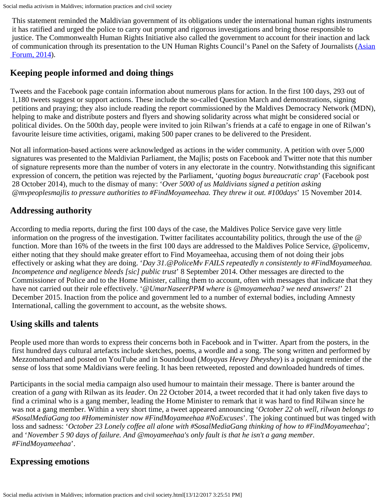This statement reminded the Maldivian government of its obligations under the international human rights instruments it has ratified and urged the police to carry out prompt and rigorous investigations and bring those responsible to justice. The Commonwealth Human Rights Initiative also called the government to account for their inaction and lack of communication through its presentation to the UN Human Rights Council's Panel on the Safety of Journalists ([Asian](#page-8-0)  [Forum, 2014](#page-8-0)).

#### **Keeping people informed and doing things**

Tweets and the Facebook page contain information about numerous plans for action. In the first 100 days, 293 out of 1,180 tweets suggest or support actions. These include the so-called Question March and demonstrations, signing petitions and praying; they also include reading the report commissioned by the Maldives Democracy Network (MDN), helping to make and distribute posters and flyers and showing solidarity across what might be considered social or political divides. On the 500th day, people were invited to join Rilwan's friends at a café to engage in one of Rilwan's favourite leisure time activities, origami, making 500 paper cranes to be delivered to the President.

Not all information-based actions were acknowledged as actions in the wider community. A petition with over 5,000 signatures was presented to the Maldivian Parliament, the Majlis; posts on Facebook and Twitter note that this number of signature represents more than the number of voters in any electorate in the country. Notwithstanding this significant expression of concern, the petition was rejected by the Parliament, '*quoting bogus bureaucratic crap*' (Facebook post 28 October 2014), much to the dismay of many: '*Over 5000 of us Maldivians signed a petition asking @mvpeoplesmajlis to pressure authorities to #FindMoyameehaa. They threw it out. #100days*' 15 November 2014.

### **Addressing authority**

According to media reports, during the first 100 days of the case, the Maldives Police Service gave very little information on the progress of the investigation. Twitter facilitates accountability politics, through the use of the @ function. More than 16% of the tweets in the first 100 days are addressed to the Maldives Police Service, @policemv, either noting that they should make greater effort to Find Moyameehaa, accusing them of not doing their jobs effectively or asking what they are doing. '*Day 31.@PoliceMv FAILS repeatedly n consistently to #FindMoyameehaa. Incompetence and negligence bleeds [sic] public trust*' 8 September 2014. Other messages are directed to the Commissioner of Police and to the Home Minister, calling them to account, often with messages that indicate that they have not carried out their role effectively. '*@UmarNaseerPPM where is @moyameehaa? we need answers!*' 21 December 2015. Inaction from the police and government led to a number of external bodies, including Amnesty International, calling the government to account, as the website shows.

#### **Using skills and talents**

People used more than words to express their concerns both in Facebook and in Twitter. Apart from the posters, in the first hundred days cultural artefacts include sketches, poems, a wordle and a song. The song written and performed by Mezzomohamed and posted on YouTube and in Soundcloud (*Moyayas Hevey Dheyshey*) is a poignant reminder of the sense of loss that some Maldivians were feeling. It has been retweeted, reposted and downloaded hundreds of times.

Participants in the social media campaign also used humour to maintain their message. There is banter around the creation of a *gang* with Rilwan as its *leader*. On 22 October 2014, a tweet recorded that it had only taken five days to find a criminal who is a gang member, leading the Home Minister to remark that it was hard to find Rilwan since he was not a gang member. Within a very short time, a tweet appeared announcing '*October 22 oh well, rilwan belongs to #SosalMediaGang too #Homeminister now #FindMoyameehaa #NoExcuses*'. The joking continued but was tinged with loss and sadness: '*October 23 Lonely coffee all alone with #SosalMediaGang thinking of how to #FindMoyameehaa*'; and '*November 5 90 days of failure. And @moyameehaa's only fault is that he isn't a gang member. #FindMoyameehaa*'.

#### **Expressing emotions**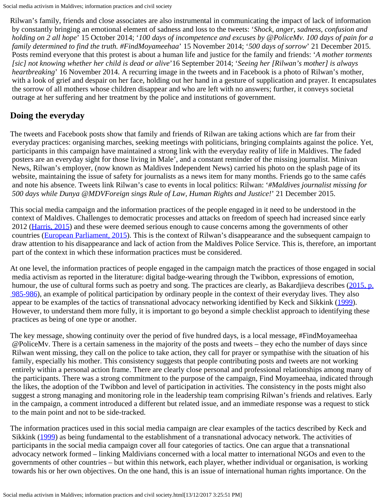Rilwan's family, friends and close associates are also instrumental in communicating the impact of lack of information by constantly bringing an emotional element of sadness and loss to the tweets: '*Shock, anger, sadness, confusion and holding on 2 all hope*' 15 October 2014; '*100 days of incompetence and excuses by @PoliceMv. 100 days of pain for a family determined to find the truth. #FindMoyameehaa*' 15 November 2014; '*500 days of sorrow*' 21 December 2015. Posts remind everyone that this protest is about a human life and justice for the family and friends: '*A mother torments [sic] not knowing whether her child is dead or alive*'16 September 2014; '*Seeing her [Rilwan's mother] is always heartbreaking*' 16 November 2014. A recurring image in the tweets and in Facebook is a photo of Rilwan's mother, with a look of grief and despair on her face, holding out her hand in a gesture of supplication and prayer. It encapsulates the sorrow of all mothers whose children disappear and who are left with no answers; further, it conveys societal outrage at her suffering and her treatment by the police and institutions of government.

#### **Doing the everyday**

The tweets and Facebook posts show that family and friends of Rilwan are taking actions which are far from their everyday practices: organising marches, seeking meetings with politicians, bringing complaints against the police. Yet, participants in this campaign have maintained a strong link with the everyday reality of life in Maldives. The faded posters are an everyday sight for those living in Male', and a constant reminder of the missing journalist. Minivan News, Rilwan's employer, (now known as Maldives Independent News) carried his photo on the splash page of its website, maintaining the issue of safety for journalists as a news item for many months. Friends go to the same cafés and note his absence. Tweets link Rilwan's case to events in local politics: Rilwan: '*#Maldives journalist missing for 500 days while Dunya @MDVForeign sings Rule of Law, Human Rights and Justice!*' 21 December 2015.

This social media campaign and the information practices of the people engaged in it need to be understood in the context of Maldives. Challenges to democratic processes and attacks on freedom of speech had increased since early 2012 ([Harris, 2015](#page-8-16)) and these were deemed serious enough to cause concerns among the governments of other countries [\(European Parliament, 2015](#page-8-0)). This is the context of Rilwan's disappearance and the subsequent campaign to draw attention to his disappearance and lack of action from the Maldives Police Service. This is, therefore, an important part of the context in which these information practices must be considered.

At one level, the information practices of people engaged in the campaign match the practices of those engaged in social media activism as reported in the literature: digital badge-wearing through the Twibbon, expressions of emotion, humour, the use of cultural forms such as poetry and song. The practices are clearly, as Bakardjieva describes [\(2015, p.](#page-8-0)  [985-986\)](#page-8-0), an example of political participation by ordinary people in the context of their everyday lives. They also appear to be examples of the tactics of transnational advocacy networking identified by Keck and Sikkink [\(1999](#page-8-7)). However, to understand them more fully, it is important to go beyond a simple checklist approach to identifying these practices as being of one type or another.

The key message, showing continuity over the period of five hundred days, is a local message, #FindMoyameehaa @PoliceMv. There is a certain sameness in the majority of the posts and tweets – they echo the number of days since Rilwan went missing, they call on the police to take action, they call for prayer or sympathise with the situation of his family, especially his mother. This consistency suggests that people contributing posts and tweets are not working entirely within a personal action frame. There are clearly close personal and professional relationships among many of the participants. There was a strong commitment to the purpose of the campaign, Find Moyameehaa, indicated through the likes, the adoption of the Twibbon and level of participation in activities. The consistency in the posts might also suggest a strong managing and monitoring role in the leadership team comprising Rilwan's friends and relatives. Early in the campaign, a comment introduced a different but related issue, and an immediate response was a request to stick to the main point and not to be side-tracked.

The information practices used in this social media campaign are clear examples of the tactics described by Keck and Sikkink [\(1999](#page-8-7)) as being fundamental to the establishment of a transnational advocacy network. The activities of participants in the social media campaign cover all four categories of tactics. One can argue that a transnational advocacy network formed – linking Maldivians concerned with a local matter to international NGOs and even to the governments of other countries – but within this network, each player, whether individual or organisation, is working towards his or her own objectives. On the one hand, this is an issue of international human rights importance. On the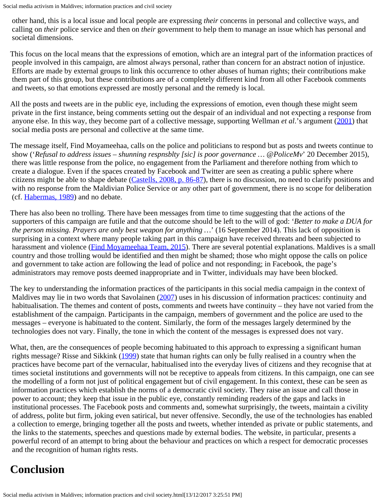Social media activism in Maldives; information practices and civil society

 other hand, this is a local issue and local people are expressing *their* concerns in personal and collective ways, and calling on *their* police service and then on *their* government to help them to manage an issue which has personal and societal dimensions.

This focus on the local means that the expressions of emotion, which are an integral part of the information practices of people involved in this campaign, are almost always personal, rather than concern for an abstract notion of injustice. Efforts are made by external groups to link this occurrence to other abuses of human rights; their contributions make them part of this group, but these contributions are of a completely different kind from all other Facebook comments and tweets, so that emotions expressed are mostly personal and the remedy is local.

All the posts and tweets are in the public eye, including the expressions of emotion, even though these might seem private in the first instance, being comments setting out the despair of an individual and not expecting a response from anyone else. In this way, they become part of a collective message, supporting Wellman *et al*.'s argument [\(2001](#page-8-17)) that social media posts are personal and collective at the same time.

The message itself, Find Moyameehaa, calls on the police and politicians to respond but as posts and tweets continue to show ('*Refusal to address issues – shunning respnsblty [sic] is poor governance … @PoliceMv*' 20 December 2015), there was little response from the police, no engagement from the Parliament and therefore nothing from which to create a dialogue. Even if the spaces created by Facebook and Twitter are seen as creating a public sphere where citizens might be able to shape debate [\(Castells, 2008, p. 86-87](#page-8-0)), there is no discussion, no need to clarify positions and with no response from the Maldivian Police Service or any other part of government, there is no scope for deliberation (cf. [Habermas, 1989](#page-8-18)) and no debate.

There has also been no trolling. There have been messages from time to time suggesting that the actions of the supporters of this campaign are futile and that the outcome should be left to the will of god: '*Better to make a DUA for the person missing. Prayers are only best weapon for anything …*' (16 September 2014). This lack of opposition is surprising in a context where many people taking part in this campaign have received threats and been subjected to harassment and violence ([Find Moyameehaa Team, 2015](#page-8-19)). There are several potential explanations. Maldives is a small country and those trolling would be identified and then might be shamed; those who might oppose the calls on police and government to take action are following the lead of police and not responding; in Facebook, the page's administrators may remove posts deemed inappropriate and in Twitter, individuals may have been blocked.

The key to understanding the information practices of the participants in this social media campaign in the context of Maldives may lie in two words that Savolainen [\(2007](#page-8-6)) uses in his discussion of information practices: continuity and habitualisation. The themes and content of posts, comments and tweets have continuity – they have not varied from the establishment of the campaign. Participants in the campaign, members of government and the police are used to the messages – everyone is habituated to the content. Similarly, the form of the messages largely determined by the technologies does not vary. Finally, the tone in which the content of the messages is expressed does not vary.

What, then, are the consequences of people becoming habituated to this approach to expressing a significant human rights message? Risse and Sikkink ([1999\)](#page-8-20) state that human rights can only be fully realised in a country when the practices have become part of the vernacular, habitualised into the everyday lives of citizens and they recognise that at times societal institutions and governments will not be receptive to appeals from citizens. In this campaign, one can see the modelling of a form not just of political engagement but of civil engagement. In this context, these can be seen as information practices which establish the norms of a democratic civil society. They raise an issue and call those in power to account; they keep that issue in the public eye, constantly reminding readers of the gaps and lacks in institutional processes. The Facebook posts and comments and, somewhat surprisingly, the tweets, maintain a civility of address, polite but firm, joking even satirical, but never offensive. Secondly, the use of the technologies has enabled a collection to emerge, bringing together all the posts and tweets, whether intended as private or public statements, and the links to the statements, speeches and questions made by external bodies. The website, in particular, presents a powerful record of an attempt to bring about the behaviour and practices on which a respect for democratic processes and the recognition of human rights rests.

## **Conclusion**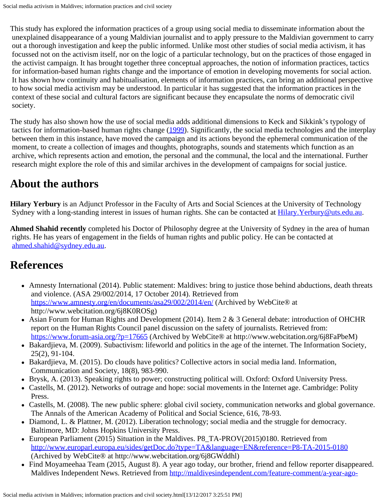This study has explored the information practices of a group using social media to disseminate information about the unexplained disappearance of a young Maldivian journalist and to apply pressure to the Maldivian government to carry out a thorough investigation and keep the public informed. Unlike most other studies of social media activism, it has focussed not on the activism itself, nor on the logic of a particular technology, but on the practices of those engaged in the activist campaign. It has brought together three conceptual approaches, the notion of information practices, tactics for information-based human rights change and the importance of emotion in developing movements for social action. It has shown how continuity and habitualisation, elements of information practices, can bring an additional perspective to how social media activism may be understood. In particular it has suggested that the information practices in the context of these social and cultural factors are significant because they encapsulate the norms of democratic civil society.

The study has also shown how the use of social media adds additional dimensions to Keck and Sikkink's typology of tactics for information-based human rights change [\(1999](#page-8-7)). Significantly, the social media technologies and the interplay between them in this instance, have moved the campaign and its actions beyond the ephemeral communication of the moment, to create a collection of images and thoughts, photographs, sounds and statements which function as an archive, which represents action and emotion, the personal and the communal, the local and the international. Further research might explore the role of this and similar archives in the development of campaigns for social justice.

## <span id="page-7-0"></span>**About the authors**

**Hilary Yerbury** is an Adjunct Professor in the Faculty of Arts and Social Sciences at the University of Technology Sydney with a long-standing interest in issues of human rights. She can be contacted at Hilary. Yerbury@uts.edu.au.

**Ahmed Shahid recently** completed his Doctor of Philosophy degree at the University of Sydney in the area of human rights. He has years of engagement in the fields of human rights and public policy. He can be contacted at [ahmed.shahid@sydney.edu.au](mailto:ahmed.shahid@sydney.edu.au).

### **References**

- Amnesty International (2014). Public statement: Maldives: bring to justice those behind abductions, death threats and violence. (ASA 29/002/2014, 17 October 2014). Retrieved from <https://www.amnesty.org/en/documents/asa29/002/2014/en/> (Archived by WebCite® at http://www.webcitation.org/6j8K0ROSg)
- Asian Forum for Human Rights and Development (2014). Item 2 & 3 General debate: introduction of OHCHR report on the Human Rights Council panel discussion on the safety of journalists. Retrieved from: <https://www.forum-asia.org/?p=17665>(Archived by WebCite® at http://www.webcitation.org/6j8FaPbeM)
- Bakardjieva, M. (2009). Subactivism: lifeworld and politics in the age of the internet. The Information Society, 25(2), 91-104.
- Bakardjieva, M. (2015). Do clouds have politics? Collective actors in social media land. Information, Communication and Society, 18(8), 983-990.
- Brysk, A. (2013). Speaking rights to power; constructing political will. Oxford: Oxford University Press.
- Castells, M. (2012). Networks of outrage and hope: social movements in the Internet age. Cambridge: Polity Press.
- Castells, M. (2008). The new public sphere: global civil society, communication networks and global governance. The Annals of the American Academy of Political and Social Science, 616, 78-93.
- Diamond, L. & Plattner, M. (2012). Liberation technology; social media and the struggle for democracy. Baltimore, MD: Johns Hopkins University Press.
- European Parliament (2015) Situation in the Maldives. P8\_TA-PROV(2015)0180. Retrieved from <http://www.europarl.europa.eu/sides/getDoc.do?type=TA&language=EN&reference=P8-TA-2015-0180> (Archived by WebCite® at http://www.webcitation.org/6j8GWddhl)
- Find Moyameehaa Team (2015, August 8). A year ago today, our brother, friend and fellow reporter disappeared. Maldives Independent News. Retrieved from [http://maldivesindependent.com/feature-comment/a-year-ago-](http://maldivesindependent.com/feature-comment/a-year-ago-today-our-brother-friend-and-fellow-reporter-disappeared-116219)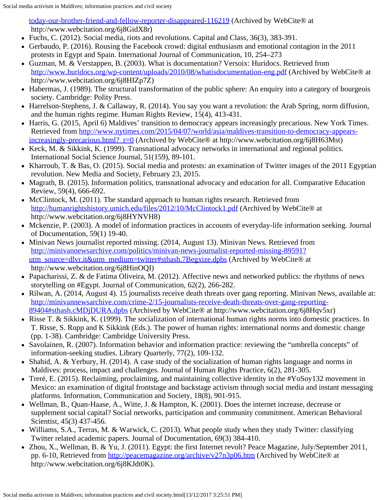<span id="page-8-19"></span><span id="page-8-0"></span>[today-our-brother-friend-and-fellow-reporter-disappeared-116219](http://maldivesindependent.com/feature-comment/a-year-ago-today-our-brother-friend-and-fellow-reporter-disappeared-116219) (Archived by WebCite® at http://www.webcitation.org/6j8GidX8r)

<span id="page-8-3"></span>Fuchs, C. (2012). Social media, riots and revolutions. Capital and Class, 36(3), 383-391.

- <span id="page-8-2"></span>• Gerbaudo, P. (2016). Rousing the Facebook crowd: digital enthusiasm and emotional contagion in the 2011 protests in Egypt and Spain. International Journal of Communication, 10, 254–273
- <span id="page-8-10"></span>Guzman, M. & Verstappen, B. (2003). What is documentation? Versoix: Huridocs. Retrieved from <http://www.huridocs.org/wp-content/uploads/2010/08/whatisdocumentation-eng.pdf> (Archived by WebCite® at http://www.webcitation.org/6j8HIZp7Z)
- <span id="page-8-18"></span>Habermas, J. (1989). The structural transformation of the public sphere: An enquiry into a category of bourgeois society. Cambridge: Polity Press.
- <span id="page-8-1"></span>Harrelson-Stephens, J. & Callaway, R. (2014). You say you want a revolution: the Arab Spring, norm diffusion, and the human rights regime. Human Rights Review, 15(4), 413-431.
- <span id="page-8-16"></span>Harris, G. (2015, April 6) Maldives' transition to democracy appears increasingly precarious. New York Times. Retrieved from [http://www.nytimes.com/2015/04/07/world/asia/maldives-transition-to-democracy-appears](http://www.nytimes.com/2015/04/07/world/asia/maldives-transition-to-democracy-appears-increasingly-precarious.html?_r=0)[increasingly-precarious.html?\\_r=0](http://www.nytimes.com/2015/04/07/world/asia/maldives-transition-to-democracy-appears-increasingly-precarious.html?_r=0) (Archived by WebCite® at http://www.webcitation.org/6j8H63Mst)
- <span id="page-8-7"></span>• Keck, M. & Sikkink, K. (1999). Transnational advocacy networks in international and regional politics. International Social Science Journal, 51(159), 89-101.
- <span id="page-8-11"></span>• Kharroub, T. & Bas, O. (2015). Social media and protests: an examination of Twitter images of the 2011 Egyptian revolution. New Media and Society, February 23, 2015.
- <span id="page-8-8"></span>Magrath, B. (2015). Information politics, transnational advocacy and education for all. Comparative Education Review, 59(4), 666-692.
- <span id="page-8-9"></span>• McClintock, M. (2011). The standard approach to human rights research. Retrieved from <http://humanrightshistory.umich.edu/files/2012/10/McClintock1.pdf> (Archived by WebCite® at http://www.webcitation.org/6j8HYNVH8)
- <span id="page-8-5"></span>Mckenzie, P. (2003). A model of information practices in accounts of everyday-life information seeking. Journal of Documentation, 59(1) 19-40.
- Minivan News journalist reported missing. (2014, August 13). Minivan News. Retrieved from [http://minivannewsarchive.com/politics/minivan-news-journalist-reported-missing-89591?](http://minivannewsarchive.com/politics/minivan-news-journalist-reported-missing-89591?utm_source=dlvr.it&utm_medium=twitter#sthash.7Begxize.dpbs) [utm\\_source=dlvr.it&utm\\_medium=twitter#sthash.7Begxize.dpbs](http://minivannewsarchive.com/politics/minivan-news-journalist-reported-missing-89591?utm_source=dlvr.it&utm_medium=twitter#sthash.7Begxize.dpbs) (Archived by WebCite® at http://www.webcitation.org/6j8HinOQI)
- <span id="page-8-13"></span>Papacharissi, Z. & de Fatima Oliveira, M. (2012). Affective news and networked publics: the rhythms of news storytelling on #Egypt. Journal of Communication, 62(2), 266-282.
- Rilwan, A. (2014, August 4). 15 journalists receive death threats over gang reporting. Minivan News, available at: [http://minivannewsarchive.com/crime-2/15-journalists-receive-death-threats-over-gang-reporting-](http://minivannewsarchive.com/crime-2/15-journalists-receive-death-threats-over-gang-reporting-89404#sthash.cMDjDURA.dpbs)[89404#sthash.cMDjDURA.dpbs](http://minivannewsarchive.com/crime-2/15-journalists-receive-death-threats-over-gang-reporting-89404#sthash.cMDjDURA.dpbs) (Archived by WebCite® at http://www.webcitation.org/6j8Hqv5xr)
- <span id="page-8-20"></span>• Risse T. & Sikkink, K. (1999). The socialization of international human rights norms into domestic practices. In T. Risse, S. Ropp and K Sikkink (Eds.). The power of human rights: international norms and domestic change (pp. 1-38). Cambridge: Cambridge University Press.
- <span id="page-8-6"></span>• Savolainen, R. (2007). Information behavior and information practice: reviewing the "umbrella concepts" of information-seeking studies. Library Quarterly, 77(2), 109-132.
- <span id="page-8-15"></span>• Shahid, A. & Yerbury, H. (2014). A case study of the socialization of human rights language and norms in Maldives: process, impact and challenges. Journal of Human Rights Practice, 6(2), 281-305.
- <span id="page-8-14"></span>Treré, E. (2015). Reclaiming, proclaiming, and maintaining collective identity in the #YoSoy132 movement in Mexico: an examination of digital frontstage and backstage activism through social media and instant messaging platforms. Information, Communication and Society, 18(8), 901-915.
- <span id="page-8-17"></span>Wellman, B., Quan-Haase, A., Witte, J. & Hampton, K. (2001). Does the internet increase, decrease or supplement social capital? Social networks, participation and community commitment. American Behavioral Scientist, 45(3) 437-456.
- <span id="page-8-4"></span>Williams, S.A., Terras, M. & Warwick, C. (2013). What people study when they study Twitter: classifying Twitter related academic papers. Journal of Documentation, 69(3) 384-410.
- <span id="page-8-12"></span>• Zhou, X., Wellman, B. & Yu, J. (2011). Egypt: the first Internet revolt? Peace Magazine, July/September 2011, pp. 6-10, Retrieved from <http://peacemagazine.org/archive/v27n3p06.htm>(Archived by WebCite® at http://www.webcitation.org/6j8KJdt0K).